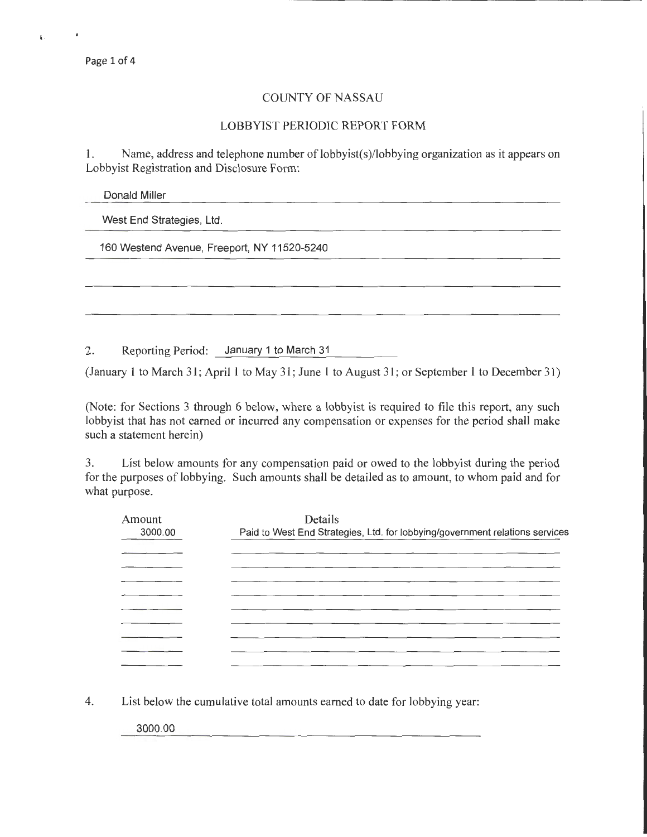Page 1 of 4

## COUNTY OF NASSAU

## LOBBYIST PERIODIC REPORT FORM

I. Name, address and telephone number of lobbyist(s)/lobbying organization as it appears on Lobbyist Registration and Disclosure Form:

Donald Miller

West End Strategies, Ltd.

160 Westend Avenue, Freeport, NY 11520-5240

2. Reporting Period: January 1 to March 31

(January 1 to March 31; April 1 to May 31; June 1 to August 31; or September 1 to December 31)

(Note: for Sections 3 through 6 below, where a lobbyist is required to file this report, any such lobbyist that has not earned or incurred any compensation or expenses for the period shall make such a statement herein)

3. List below amounts for any compensation paid or owed to the lobbyist during the period for the purposes of lobbying. Such amounts shall be detailed as to amount, to whom paid and for what purpose.

| Amount<br>3000.00 | Details<br>Paid to West End Strategies, Ltd. for lobbying/government relations services |
|-------------------|-----------------------------------------------------------------------------------------|
|                   |                                                                                         |
|                   |                                                                                         |
|                   |                                                                                         |
|                   |                                                                                         |
|                   |                                                                                         |
|                   |                                                                                         |
|                   |                                                                                         |

4. List below the cumulative total amounts earned to date for lobbying year:

3000.00

 $\mathbf{r}$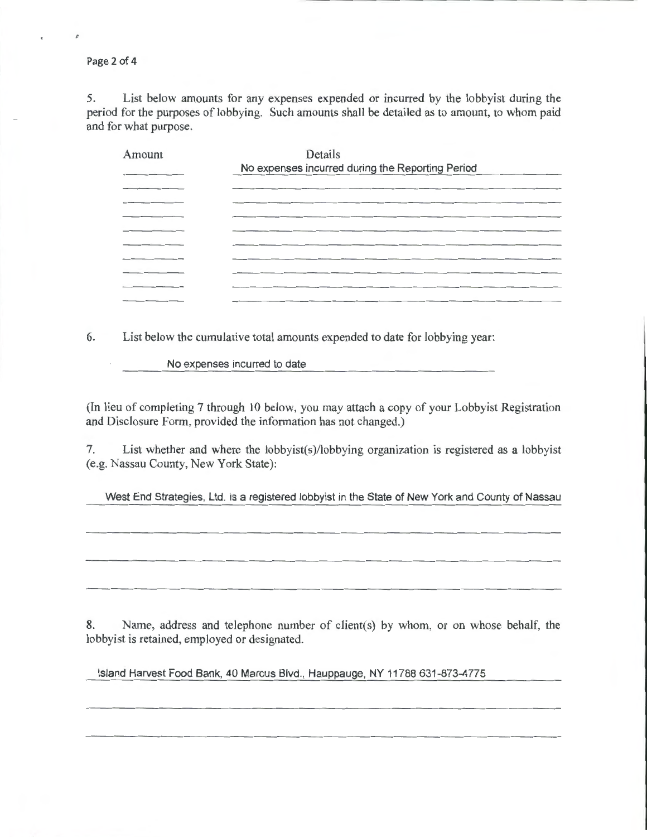Page 2 of 4

¢

5. List below amounts for any expenses expended or incurred by the lobbyist during the period for the purposes of lobbying. Such amounts shall be detailed as to amount, to whom paid and for what purpose.

| Amount | Details                                          |
|--------|--------------------------------------------------|
|        | No expenses incurred during the Reporting Period |
|        |                                                  |
|        |                                                  |
|        |                                                  |
|        |                                                  |
|        |                                                  |
|        |                                                  |
|        |                                                  |
|        |                                                  |
|        |                                                  |

6. List below the cumulative total amounts expended to date for lobbying year:

No expenses incurred to date

(In lieu of completing 7 through 10 below, you may attach a copy of your Lobbyist Registration and Disclosure Form, provided the information has not changed.)

7. List whether and where the lobbyist(s)/lobbying organization is registered as a lobbyist (e.g. Nassau County, New York State):

West End Strategies, Ltd. is a registered lobbyist in the State of New York and County of Nassau

8. Name, address and telephone number of client(s) by whom, or on whose behalf, the lobbyist is retained, employed or designated.

Island Harvest Food Bank, 40 Marcus Blvd., Hauppauge, NY 11788 631-873-4775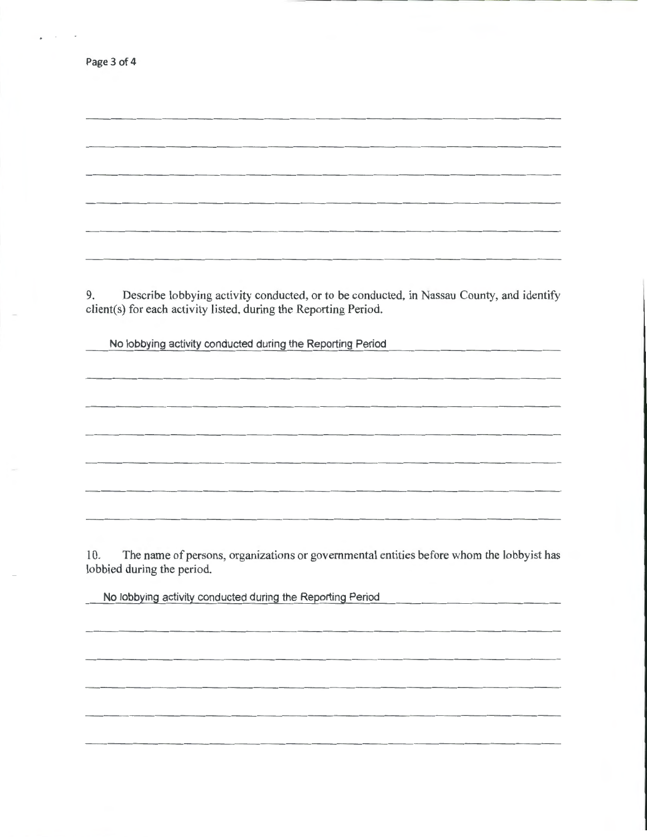| Page 3 of 4                                                                                                                                                        |
|--------------------------------------------------------------------------------------------------------------------------------------------------------------------|
|                                                                                                                                                                    |
|                                                                                                                                                                    |
|                                                                                                                                                                    |
|                                                                                                                                                                    |
|                                                                                                                                                                    |
|                                                                                                                                                                    |
|                                                                                                                                                                    |
| Describe lobbying activity conducted, or to be conducted, in Nassau County, and identify<br>9.<br>client(s) for each activity listed, during the Reporting Period. |
| No lobbying activity conducted during the Reporting Period<br>and the state of the state of                                                                        |
|                                                                                                                                                                    |
|                                                                                                                                                                    |
|                                                                                                                                                                    |
|                                                                                                                                                                    |
|                                                                                                                                                                    |
|                                                                                                                                                                    |
|                                                                                                                                                                    |
| The name of persons, organizations or governmental entities before whom the lobbyist has<br>10.<br>lobbied during the period.                                      |

No lobbying activity conducted during the Reporting Period

 $\bar{r}$ 

 $\overline{a}$